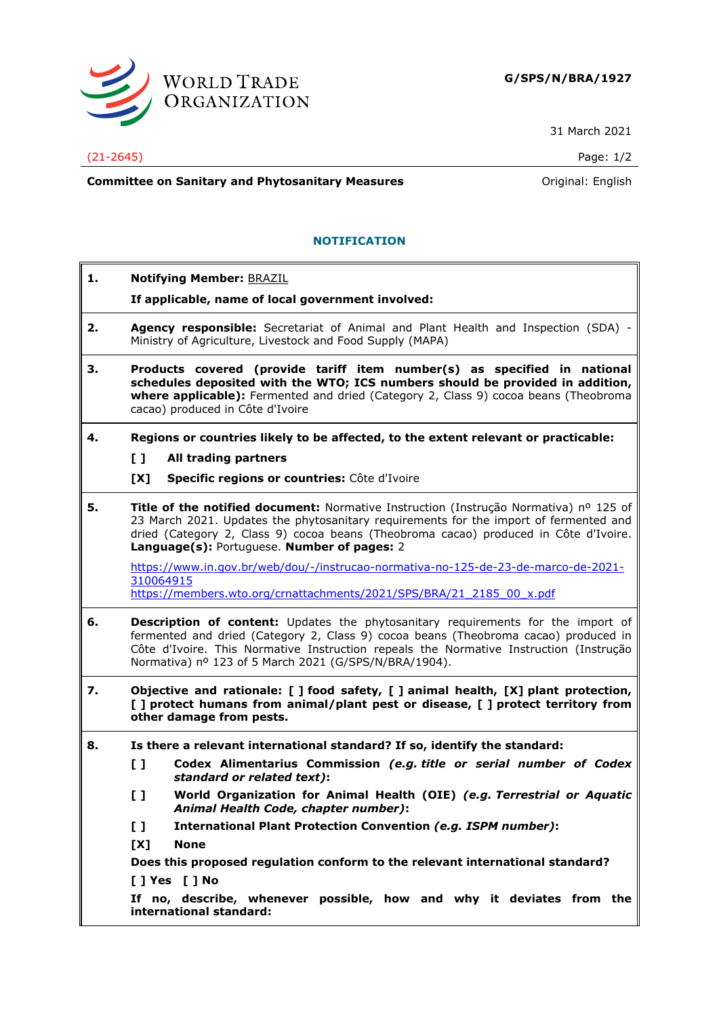

31 March 2021

## (21-2645) Page: 1/2

**Committee on Sanitary and Phytosanitary Measures Committee on Sanitary and Phytosanitary Measures Committee And American** 

# **NOTIFICATION**

**1. Notifying Member:** BRAZIL **If applicable, name of local government involved: 2. Agency responsible:** Secretariat of Animal and Plant Health and Inspection (SDA) - Ministry of Agriculture, Livestock and Food Supply (MAPA) **3. Products covered (provide tariff item number(s) as specified in national schedules deposited with the WTO; ICS numbers should be provided in addition, where applicable):** Fermented and dried (Category 2, Class 9) cocoa beans (Theobroma cacao) produced in Côte d'Ivoire **4. Regions or countries likely to be affected, to the extent relevant or practicable: [ ] All trading partners [X] Specific regions or countries:** Côte d'Ivoire **5. Title of the notified document:** Normative Instruction (Instrução Normativa) nº 125 of 23 March 2021. Updates the phytosanitary requirements for the import of fermented and dried (Category 2, Class 9) cocoa beans (Theobroma cacao) produced in Côte d'Ivoire. **Language(s):** Portuguese. **Number of pages:** 2 [https://www.in.gov.br/web/dou/-/instrucao-normativa-no-125-de-23-de-marco-de-2021-](https://www.in.gov.br/web/dou/-/instrucao-normativa-no-125-de-23-de-marco-de-2021-310064915) [310064915](https://www.in.gov.br/web/dou/-/instrucao-normativa-no-125-de-23-de-marco-de-2021-310064915) [https://members.wto.org/crnattachments/2021/SPS/BRA/21\\_2185\\_00\\_x.pdf](https://members.wto.org/crnattachments/2021/SPS/BRA/21_2185_00_x.pdf) **6. Description of content:** Updates the phytosanitary requirements for the import of fermented and dried (Category 2, Class 9) cocoa beans (Theobroma cacao) produced in Côte d'Ivoire. This Normative Instruction repeals the Normative Instruction (Instrução Normativa) nº 123 of 5 March 2021 (G/SPS/N/BRA/1904). **7. Objective and rationale: [ ] food safety, [ ] animal health, [X] plant protection, [ ] protect humans from animal/plant pest or disease, [ ] protect territory from other damage from pests. 8. Is there a relevant international standard? If so, identify the standard: [ ] Codex Alimentarius Commission** *(e.g. title or serial number of Codex standard or related text)***: [ ] World Organization for Animal Health (OIE)** *(e.g. Terrestrial or Aquatic Animal Health Code, chapter number)***: [ ] International Plant Protection Convention** *(e.g. ISPM number)***: [X] None Does this proposed regulation conform to the relevant international standard? [ ] Yes [ ] No If no, describe, whenever possible, how and why it deviates from the international standard:**